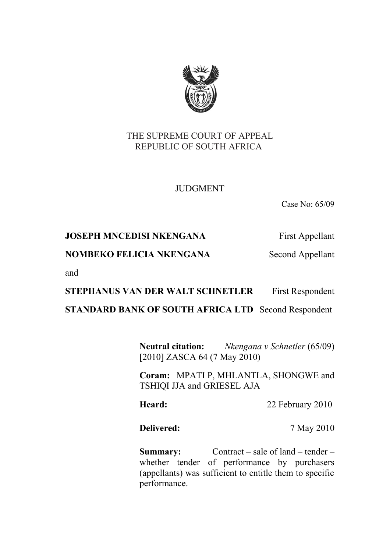

## THE SUPREME COURT OF APPEAL REPUBLIC OF SOUTH AFRICA

# JUDGMENT

Case No: 65/09

## **JOSEPH MNCEDISI NKENGANA** First Appellant

## **NOMBEKO FELICIA NKENGANA** Second Appellant

and

### **STEPHANUS VAN DER WALT SCHNETLER** First Respondent

### **STANDARD BANK OF SOUTH AFRICA LTD** Second Respondent

**Neutral citation:** *Nkengana v Schnetler* (65/09) [2010] ZASCA 64 (7 May 2010)

**Coram:** MPATI P, MHLANTLA, SHONGWE and TSHIQI JJA and GRIESEL AJA

Heard: 22 February 2010

**Delivered:** 7 May 2010

**Summary:** Contract – sale of land – tender – whether tender of performance by purchasers (appellants) was sufficient to entitle them to specific performance.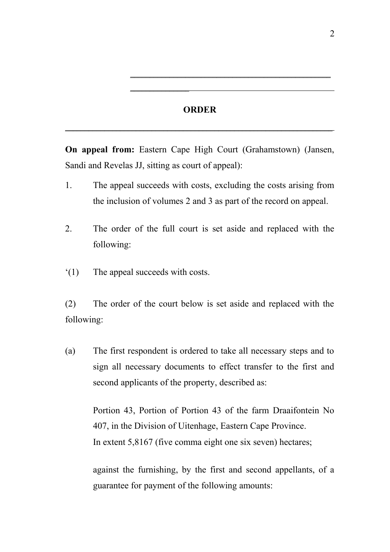#### **ORDER**

\_\_\_\_\_\_\_\_\_\_\_\_\_\_\_\_\_\_\_\_\_\_\_\_\_\_\_\_\_\_\_\_\_\_\_\_\_\_\_\_\_\_\_\_\_\_\_\_\_\_\_\_\_\_\_\_\_\_\_\_\_\_\_\_\_\_\_\_

 $\overline{\phantom{a}}$  , where  $\overline{\phantom{a}}$ 

\_\_\_\_\_\_\_\_\_\_\_\_\_\_\_\_\_\_\_\_\_\_\_\_\_\_\_\_\_\_\_\_\_\_\_\_\_\_\_\_\_\_\_\_\_\_\_\_\_\_\_

**On appeal from:** Eastern Cape High Court (Grahamstown) (Jansen, Sandi and Revelas JJ, sitting as court of appeal):

- 1. The appeal succeeds with costs, excluding the costs arising from the inclusion of volumes 2 and 3 as part of the record on appeal.
- 2. The order of the full court is set aside and replaced with the following:
- '(1) The appeal succeeds with costs.

(2) The order of the court below is set aside and replaced with the following:

(a) The first respondent is ordered to take all necessary steps and to sign all necessary documents to effect transfer to the first and second applicants of the property, described as:

> Portion 43, Portion of Portion 43 of the farm Draaifontein No 407, in the Division of Uitenhage, Eastern Cape Province. In extent 5,8167 (five comma eight one six seven) hectares;

> against the furnishing, by the first and second appellants, of a guarantee for payment of the following amounts: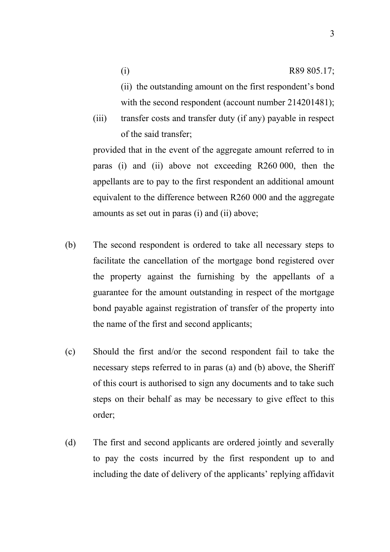3

- (ii) the outstanding amount on the first respondent's bond with the second respondent (account number 214201481);
- (iii) transfer costs and transfer duty (if any) payable in respect of the said transfer;

provided that in the event of the aggregate amount referred to in paras (i) and (ii) above not exceeding R260 000, then the appellants are to pay to the first respondent an additional amount equivalent to the difference between R260 000 and the aggregate amounts as set out in paras (i) and (ii) above;

- (b) The second respondent is ordered to take all necessary steps to facilitate the cancellation of the mortgage bond registered over the property against the furnishing by the appellants of a guarantee for the amount outstanding in respect of the mortgage bond payable against registration of transfer of the property into the name of the first and second applicants;
- (c) Should the first and/or the second respondent fail to take the necessary steps referred to in paras (a) and (b) above, the Sheriff of this court is authorised to sign any documents and to take such steps on their behalf as may be necessary to give effect to this order;
- (d) The first and second applicants are ordered jointly and severally to pay the costs incurred by the first respondent up to and including the date of delivery of the applicants' replying affidavit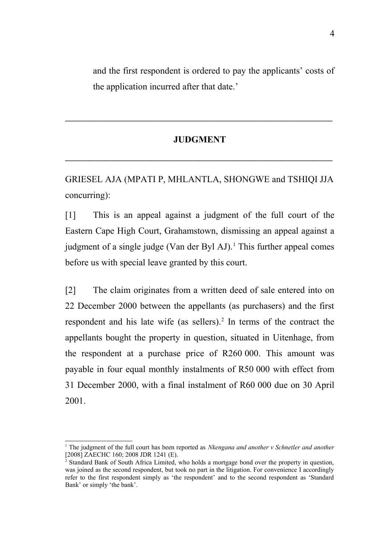and the first respondent is ordered to pay the applicants' costs of the application incurred after that date.'

#### **JUDGMENT**

**\_\_\_\_\_\_\_\_\_\_\_\_\_\_\_\_\_\_\_\_\_\_\_\_\_\_\_\_\_\_\_\_\_\_\_\_\_\_\_\_\_\_\_\_\_\_\_\_\_\_\_\_\_\_\_\_\_\_\_\_\_\_\_\_\_\_\_\_**

 $\mathcal{L} = \{ \mathcal{L} \mathcal{L} \mathcal{L} \mathcal{L} \mathcal{L} \mathcal{L} \mathcal{L} \mathcal{L} \mathcal{L} \mathcal{L} \mathcal{L} \mathcal{L} \mathcal{L} \mathcal{L} \mathcal{L} \mathcal{L} \mathcal{L} \mathcal{L} \mathcal{L} \mathcal{L} \mathcal{L} \mathcal{L} \mathcal{L} \mathcal{L} \mathcal{L} \mathcal{L} \mathcal{L} \mathcal{L} \mathcal{L} \mathcal{L} \mathcal{L} \mathcal{L} \mathcal{L} \mathcal{L} \mathcal{L} \$ 

GRIESEL AJA (MPATI P, MHLANTLA, SHONGWE and TSHIQI JJA concurring):

[1] This is an appeal against a judgment of the full court of the Eastern Cape High Court, Grahamstown, dismissing an appeal against a judgment of a single judge (Van der Byl AJ).<sup>[1](#page-3-0)</sup> This further appeal comes before us with special leave granted by this court.

[2] The claim originates from a written deed of sale entered into on 22 December 2000 between the appellants (as purchasers) and the first respondent and his late wife (as sellers).<sup>[2](#page-3-1)</sup> In terms of the contract the appellants bought the property in question, situated in Uitenhage, from the respondent at a purchase price of R260 000. This amount was payable in four equal monthly instalments of R50 000 with effect from 31 December 2000, with a final instalment of R60 000 due on 30 April 2001.

<span id="page-3-0"></span><sup>1</sup> The judgment of the full court has been reported as *Nkengana and another v Schnetler and another* [2008] ZAECHC 160; 2008 JDR 1241 (E).

<span id="page-3-1"></span><sup>2</sup> Standard Bank of South Africa Limited, who holds a mortgage bond over the property in question, was joined as the second respondent, but took no part in the litigation. For convenience I accordingly refer to the first respondent simply as 'the respondent' and to the second respondent as 'Standard Bank' or simply 'the bank'.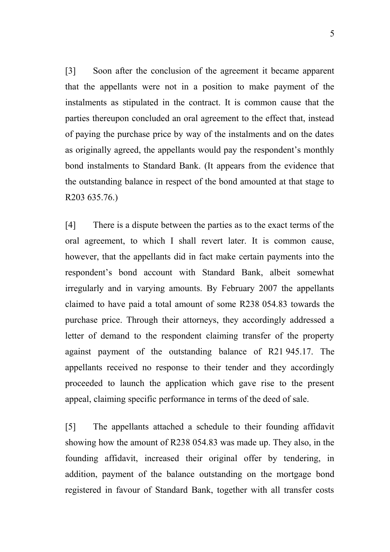[3] Soon after the conclusion of the agreement it became apparent that the appellants were not in a position to make payment of the instalments as stipulated in the contract. It is common cause that the parties thereupon concluded an oral agreement to the effect that, instead of paying the purchase price by way of the instalments and on the dates as originally agreed, the appellants would pay the respondent's monthly bond instalments to Standard Bank. (It appears from the evidence that the outstanding balance in respect of the bond amounted at that stage to R203 635.76.)

[4] There is a dispute between the parties as to the exact terms of the oral agreement, to which I shall revert later. It is common cause, however, that the appellants did in fact make certain payments into the respondent's bond account with Standard Bank, albeit somewhat irregularly and in varying amounts. By February 2007 the appellants claimed to have paid a total amount of some R238 054.83 towards the purchase price. Through their attorneys, they accordingly addressed a letter of demand to the respondent claiming transfer of the property against payment of the outstanding balance of R21 945.17. The appellants received no response to their tender and they accordingly proceeded to launch the application which gave rise to the present appeal, claiming specific performance in terms of the deed of sale.

[5] The appellants attached a schedule to their founding affidavit showing how the amount of R238 054.83 was made up. They also, in the founding affidavit, increased their original offer by tendering, in addition, payment of the balance outstanding on the mortgage bond registered in favour of Standard Bank, together with all transfer costs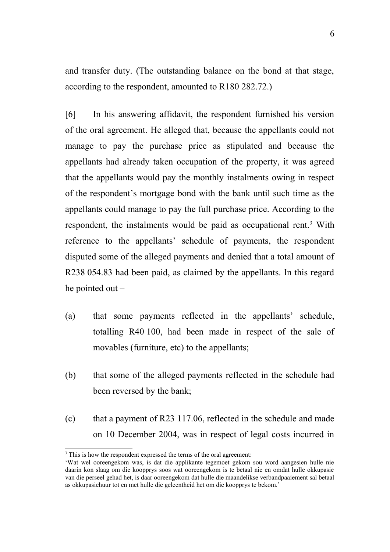and transfer duty. (The outstanding balance on the bond at that stage, according to the respondent, amounted to R180 282.72.)

[6] In his answering affidavit, the respondent furnished his version of the oral agreement. He alleged that, because the appellants could not manage to pay the purchase price as stipulated and because the appellants had already taken occupation of the property, it was agreed that the appellants would pay the monthly instalments owing in respect of the respondent's mortgage bond with the bank until such time as the appellants could manage to pay the full purchase price. According to the respondent, the instalments would be paid as occupational rent.<sup>[3](#page-5-0)</sup> With reference to the appellants' schedule of payments, the respondent disputed some of the alleged payments and denied that a total amount of R238 054.83 had been paid, as claimed by the appellants. In this regard he pointed out –

- (a) that some payments reflected in the appellants' schedule, totalling R40 100, had been made in respect of the sale of movables (furniture, etc) to the appellants;
- (b) that some of the alleged payments reflected in the schedule had been reversed by the bank;
- (c) that a payment of R23 117.06, reflected in the schedule and made on 10 December 2004, was in respect of legal costs incurred in

<span id="page-5-0"></span><sup>&</sup>lt;sup>3</sup> This is how the respondent expressed the terms of the oral agreement:

<sup>&#</sup>x27;Wat wel ooreengekom was, is dat die applikante tegemoet gekom sou word aangesien hulle nie daarin kon slaag om die koopprys soos wat ooreengekom is te betaal nie en omdat hulle okkupasie van die perseel gehad het, is daar ooreengekom dat hulle die maandelikse verbandpaaiement sal betaal as okkupasiehuur tot en met hulle die geleentheid het om die koopprys te bekom.'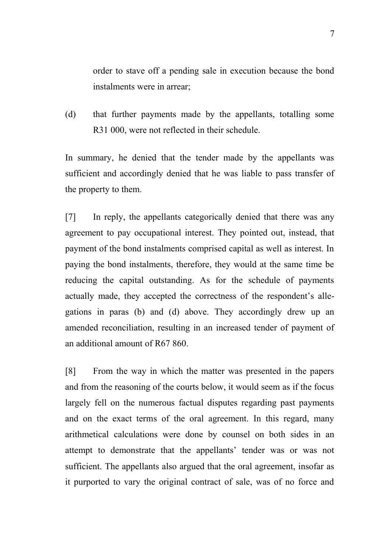order to stave off a pending sale in execution because the bond instalments were in arrear;

(d) that further payments made by the appellants, totalling some R31 000, were not reflected in their schedule.

In summary, he denied that the tender made by the appellants was sufficient and accordingly denied that he was liable to pass transfer of the property to them.

[7] In reply, the appellants categorically denied that there was any agreement to pay occupational interest. They pointed out, instead, that payment of the bond instalments comprised capital as well as interest. In paying the bond instalments, therefore, they would at the same time be reducing the capital outstanding. As for the schedule of payments actually made, they accepted the correctness of the respondent's allegations in paras (b) and (d) above. They accordingly drew up an amended reconciliation, resulting in an increased tender of payment of an additional amount of R67 860.

[8] From the way in which the matter was presented in the papers and from the reasoning of the courts below, it would seem as if the focus largely fell on the numerous factual disputes regarding past payments and on the exact terms of the oral agreement. In this regard, many arithmetical calculations were done by counsel on both sides in an attempt to demonstrate that the appellants' tender was or was not sufficient. The appellants also argued that the oral agreement, insofar as it purported to vary the original contract of sale, was of no force and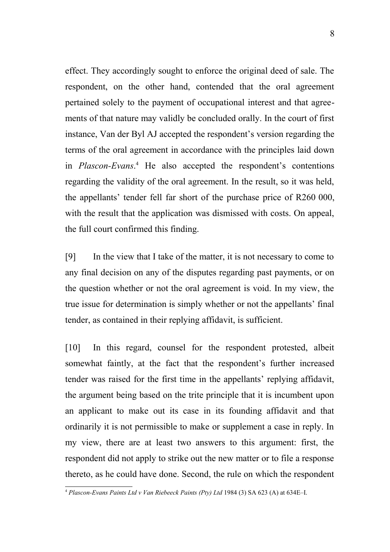effect. They accordingly sought to enforce the original deed of sale. The respondent, on the other hand, contended that the oral agreement pertained solely to the payment of occupational interest and that agreements of that nature may validly be concluded orally. In the court of first instance, Van der Byl AJ accepted the respondent's version regarding the terms of the oral agreement in accordance with the principles laid down in *Plascon-Evans*. [4](#page-7-0) He also accepted the respondent's contentions regarding the validity of the oral agreement. In the result, so it was held, the appellants' tender fell far short of the purchase price of R260 000, with the result that the application was dismissed with costs. On appeal, the full court confirmed this finding.

[9] In the view that I take of the matter, it is not necessary to come to any final decision on any of the disputes regarding past payments, or on the question whether or not the oral agreement is void. In my view, the true issue for determination is simply whether or not the appellants' final tender, as contained in their replying affidavit, is sufficient.

[10] In this regard, counsel for the respondent protested, albeit somewhat faintly, at the fact that the respondent's further increased tender was raised for the first time in the appellants' replying affidavit, the argument being based on the trite principle that it is incumbent upon an applicant to make out its case in its founding affidavit and that ordinarily it is not permissible to make or supplement a case in reply. In my view, there are at least two answers to this argument: first, the respondent did not apply to strike out the new matter or to file a response thereto, as he could have done. Second, the rule on which the respondent

<span id="page-7-0"></span><sup>4</sup> *Plascon-Evans Paints Ltd v Van Riebeeck Paints (Pty) Ltd* 1984 (3) SA 623 (A) at 634E–I.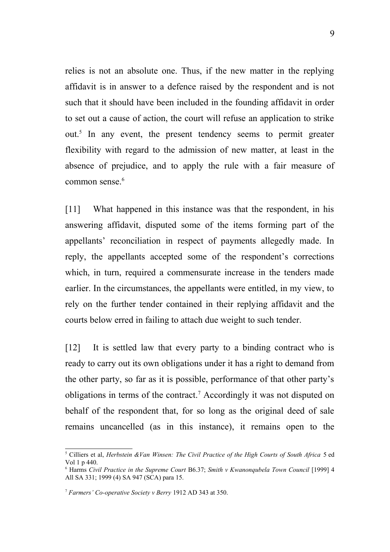relies is not an absolute one. Thus, if the new matter in the replying affidavit is in answer to a defence raised by the respondent and is not such that it should have been included in the founding affidavit in order to set out a cause of action, the court will refuse an application to strike out.[5](#page-8-0) In any event, the present tendency seems to permit greater flexibility with regard to the admission of new matter, at least in the absence of prejudice, and to apply the rule with a fair measure of common sense.<sup>[6](#page-8-1)</sup>

[11] What happened in this instance was that the respondent, in his answering affidavit, disputed some of the items forming part of the appellants' reconciliation in respect of payments allegedly made. In reply, the appellants accepted some of the respondent's corrections which, in turn, required a commensurate increase in the tenders made earlier. In the circumstances, the appellants were entitled, in my view, to rely on the further tender contained in their replying affidavit and the courts below erred in failing to attach due weight to such tender.

[12] It is settled law that every party to a binding contract who is ready to carry out its own obligations under it has a right to demand from the other party, so far as it is possible, performance of that other party's obligations in terms of the contract.<sup>[7](#page-8-2)</sup> Accordingly it was not disputed on behalf of the respondent that, for so long as the original deed of sale remains uncancelled (as in this instance), it remains open to the

<span id="page-8-0"></span><sup>5</sup> Cilliers et al, *Herbstein &Van Winsen: The Civil Practice of the High Courts of South Africa* 5 ed Vol 1 p 440.

<span id="page-8-1"></span><sup>6</sup> Harms *Civil Practice in the Supreme Court* B6.37; *Smith v Kwanonqubela Town Council* [1999] 4 All SA 331; 1999 (4) SA 947 (SCA) para 15.

<span id="page-8-2"></span><sup>7</sup> *Farmers' Co-operative Society v Berry* 1912 AD 343 at 350.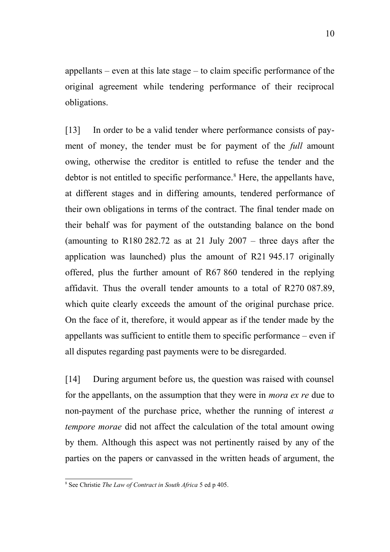appellants – even at this late stage – to claim specific performance of the original agreement while tendering performance of their reciprocal obligations.

[13] In order to be a valid tender where performance consists of payment of money, the tender must be for payment of the *full* amount owing, otherwise the creditor is entitled to refuse the tender and the debtor is not entitled to specific performance.<sup>[8](#page-9-0)</sup> Here, the appellants have, at different stages and in differing amounts, tendered performance of their own obligations in terms of the contract. The final tender made on their behalf was for payment of the outstanding balance on the bond (amounting to R180 282.72 as at 21 July 2007 – three days after the application was launched) plus the amount of R21 945.17 originally offered, plus the further amount of R67 860 tendered in the replying affidavit. Thus the overall tender amounts to a total of R270 087.89, which quite clearly exceeds the amount of the original purchase price. On the face of it, therefore, it would appear as if the tender made by the appellants was sufficient to entitle them to specific performance – even if all disputes regarding past payments were to be disregarded.

[14] During argument before us, the question was raised with counsel for the appellants, on the assumption that they were in *mora ex re* due to non-payment of the purchase price, whether the running of interest *a tempore morae* did not affect the calculation of the total amount owing by them. Although this aspect was not pertinently raised by any of the parties on the papers or canvassed in the written heads of argument, the

<span id="page-9-0"></span><sup>8</sup> See Christie *The Law of Contract in South Africa* 5 ed p 405.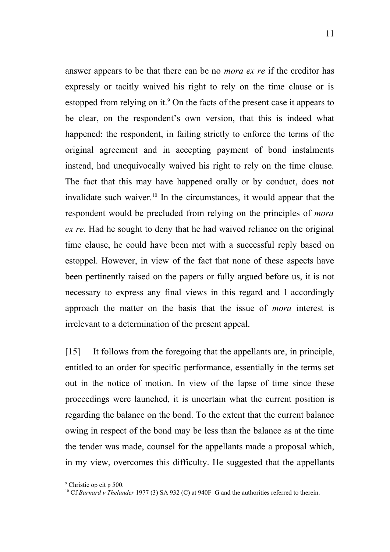answer appears to be that there can be no *mora ex re* if the creditor has expressly or tacitly waived his right to rely on the time clause or is estopped from relying on it.<sup>[9](#page-10-0)</sup> On the facts of the present case it appears to be clear, on the respondent's own version, that this is indeed what happened: the respondent, in failing strictly to enforce the terms of the original agreement and in accepting payment of bond instalments instead, had unequivocally waived his right to rely on the time clause. The fact that this may have happened orally or by conduct, does not invalidate such waiver.[10](#page-10-1) In the circumstances, it would appear that the respondent would be precluded from relying on the principles of *mora ex re*. Had he sought to deny that he had waived reliance on the original time clause, he could have been met with a successful reply based on estoppel. However, in view of the fact that none of these aspects have been pertinently raised on the papers or fully argued before us, it is not necessary to express any final views in this regard and I accordingly approach the matter on the basis that the issue of *mora* interest is irrelevant to a determination of the present appeal.

[15] It follows from the foregoing that the appellants are, in principle, entitled to an order for specific performance, essentially in the terms set out in the notice of motion. In view of the lapse of time since these proceedings were launched, it is uncertain what the current position is regarding the balance on the bond. To the extent that the current balance owing in respect of the bond may be less than the balance as at the time the tender was made, counsel for the appellants made a proposal which, in my view, overcomes this difficulty. He suggested that the appellants

<span id="page-10-0"></span><sup>9</sup> Christie op cit p 500.

<span id="page-10-1"></span><sup>&</sup>lt;sup>10</sup> Cf *Barnard v Thelander* 1977 (3) SA 932 (C) at 940F–G and the authorities referred to therein.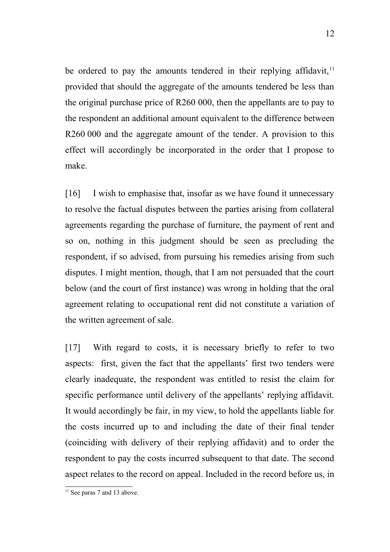be ordered to pay the amounts tendered in their replying affidavit.<sup>[11](#page-11-0)</sup> provided that should the aggregate of the amounts tendered be less than the original purchase price of R260 000, then the appellants are to pay to the respondent an additional amount equivalent to the difference between R260 000 and the aggregate amount of the tender. A provision to this effect will accordingly be incorporated in the order that I propose to make.

[16] I wish to emphasise that, insofar as we have found it unnecessary to resolve the factual disputes between the parties arising from collateral agreements regarding the purchase of furniture, the payment of rent and so on, nothing in this judgment should be seen as precluding the respondent, if so advised, from pursuing his remedies arising from such disputes. I might mention, though, that I am not persuaded that the court below (and the court of first instance) was wrong in holding that the oral agreement relating to occupational rent did not constitute a variation of the written agreement of sale.

[17] With regard to costs, it is necessary briefly to refer to two aspects: first, given the fact that the appellants' first two tenders were clearly inadequate, the respondent was entitled to resist the claim for specific performance until delivery of the appellants' replying affidavit. It would accordingly be fair, in my view, to hold the appellants liable for the costs incurred up to and including the date of their final tender (coinciding with delivery of their replying affidavit) and to order the respondent to pay the costs incurred subsequent to that date. The second aspect relates to the record on appeal. Included in the record before us, in

<span id="page-11-0"></span><sup>&</sup>lt;sup>11</sup> See paras 7 and 13 above.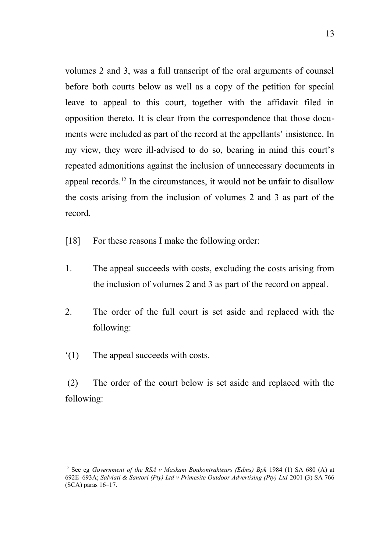volumes 2 and 3, was a full transcript of the oral arguments of counsel before both courts below as well as a copy of the petition for special leave to appeal to this court, together with the affidavit filed in opposition thereto. It is clear from the correspondence that those documents were included as part of the record at the appellants' insistence. In my view, they were ill-advised to do so, bearing in mind this court's repeated admonitions against the inclusion of unnecessary documents in appeal records.[12](#page-12-0) In the circumstances, it would not be unfair to disallow the costs arising from the inclusion of volumes 2 and 3 as part of the record.

- [18] For these reasons I make the following order:
- 1. The appeal succeeds with costs, excluding the costs arising from the inclusion of volumes 2 and 3 as part of the record on appeal.
- 2. The order of the full court is set aside and replaced with the following:
- '(1) The appeal succeeds with costs.

(2) The order of the court below is set aside and replaced with the following:

<span id="page-12-0"></span><sup>&</sup>lt;sup>12</sup> See eg *Government of the RSA v Maskam Boukontrakteurs (Edms) Bpk 1984 (1) SA 680 (A) at* 692E–693A; *Salviati & Santori (Pty) Ltd v Primesite Outdoor Advertising (Pty) Ltd* 2001 (3) SA 766 (SCA) paras 16–17.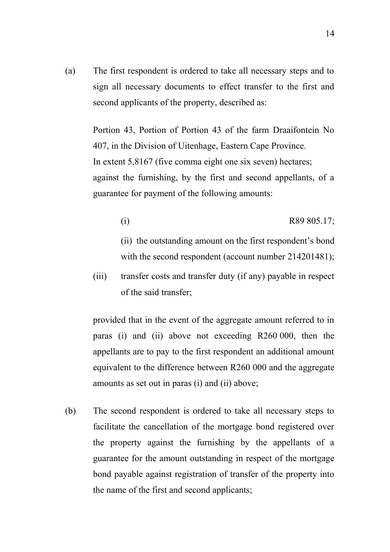(a) The first respondent is ordered to take all necessary steps and to sign all necessary documents to effect transfer to the first and second applicants of the property, described as:

> Portion 43, Portion of Portion 43 of the farm Draaifontein No 407, in the Division of Uitenhage, Eastern Cape Province. In extent 5,8167 (five comma eight one six seven) hectares; against the furnishing, by the first and second appellants, of a guarantee for payment of the following amounts:

> > $R89 805.17;$

(ii) the outstanding amount on the first respondent's bond with the second respondent (account number 214201481);

(iii) transfer costs and transfer duty (if any) payable in respect of the said transfer;

provided that in the event of the aggregate amount referred to in paras (i) and (ii) above not exceeding R260 000, then the appellants are to pay to the first respondent an additional amount equivalent to the difference between R260 000 and the aggregate amounts as set out in paras (i) and (ii) above;

(b) The second respondent is ordered to take all necessary steps to facilitate the cancellation of the mortgage bond registered over the property against the furnishing by the appellants of a guarantee for the amount outstanding in respect of the mortgage bond payable against registration of transfer of the property into the name of the first and second applicants;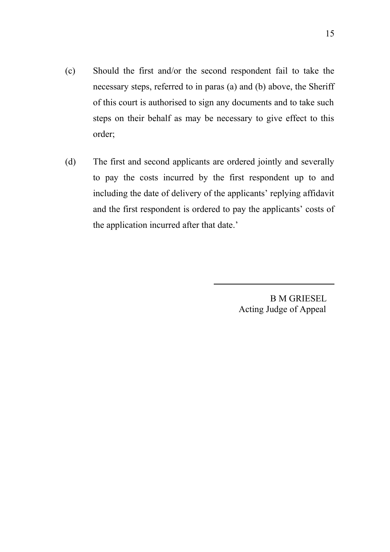- (c) Should the first and/or the second respondent fail to take the necessary steps, referred to in paras (a) and (b) above, the Sheriff of this court is authorised to sign any documents and to take such steps on their behalf as may be necessary to give effect to this order;
- (d) The first and second applicants are ordered jointly and severally to pay the costs incurred by the first respondent up to and including the date of delivery of the applicants' replying affidavit and the first respondent is ordered to pay the applicants' costs of the application incurred after that date.'

 $\overline{a}$ 

 B M GRIESEL Acting Judge of Appeal